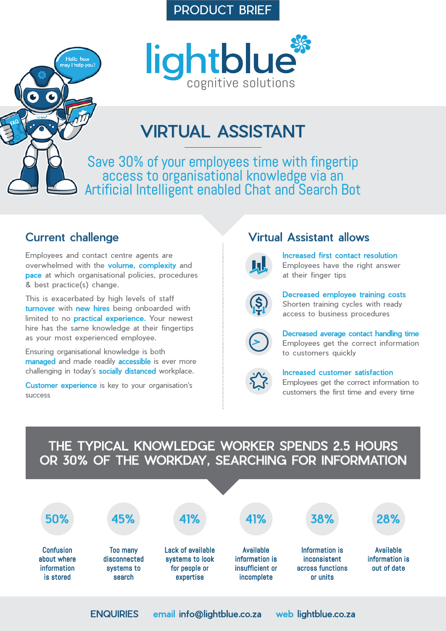#### PRODUCT BRIEF



# VIRTUAL ASSISTANT

Save 30% of your employees time with fingertip access to organisational knowledge via an Artificial Intelligent enabled Chat and Search Bot

#### Current challenge

Hello how

Employees and contact centre agents are overwhelmed with the volume, complexity and **pace** at which organisational policies, procedures & best practice(s) change.

This is exacerbated by high levels of staff turnover with new hires being onboarded with limited to no **practical experience**. Your newest hire has the same knowledge at their fingertips as your most experienced employee.

Ensuring organisational knowledge is both managed and made readily accessible is ever more challenging in today's socially distanced workplace.

Customer experience is key to your organisation's success

### Virtual Assistant allows



Increased first contact resolution Employees have the right answer at their finger tips



Decreased employee training costs Shorten training cycles with ready access to business procedures



Decreased average contact handling time Employees get the correct information to customers quickly



Increased customer satisfaction

Employees get the correct information to customers the first time and every time

### THE TYPICAL KNOWLEDGE WORKER SPENDS 2.5 HOURS OR 30% OF THE WORKDAY, SEARCHING FOR INFORMATION